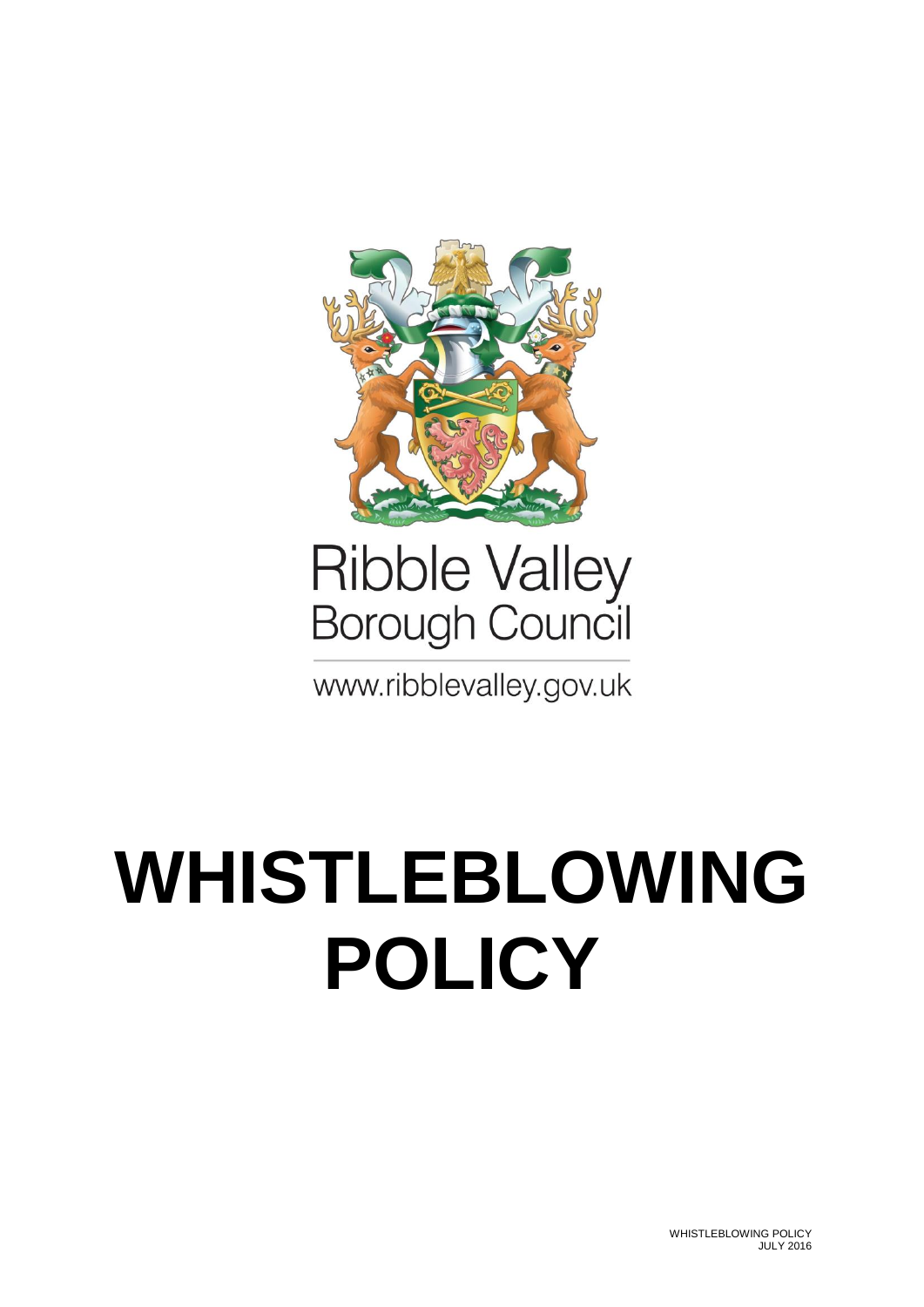

# Ribble Valley<br>Borough Council

www.ribblevalley.gov.uk

## **WHISTLEBLOWING POLICY**

WHISTLEBLOWING POLICY JULY 2016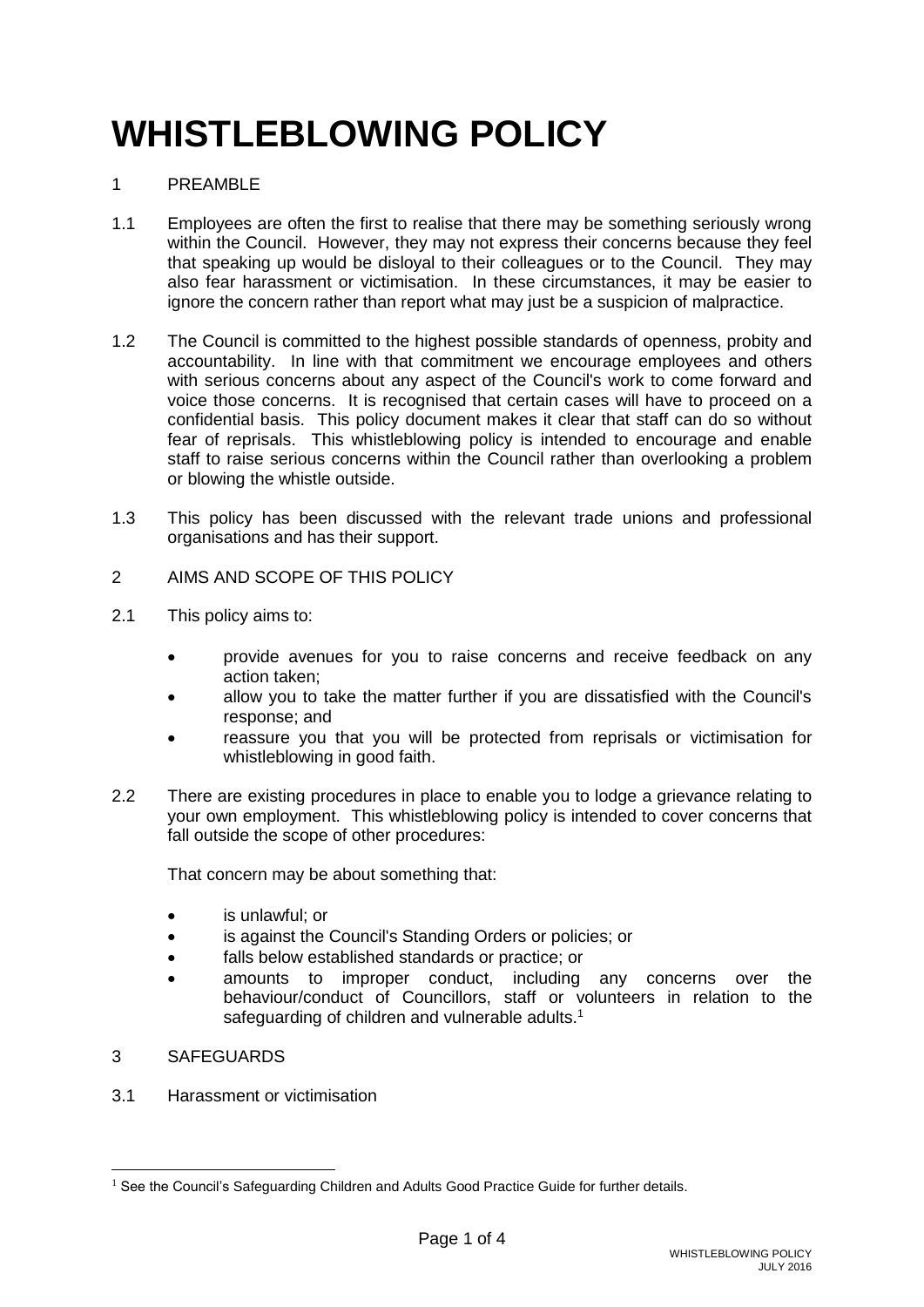## **WHISTLEBLOWING POLICY**

### 1 PREAMBLE

- 1.1 Employees are often the first to realise that there may be something seriously wrong within the Council. However, they may not express their concerns because they feel that speaking up would be disloyal to their colleagues or to the Council. They may also fear harassment or victimisation. In these circumstances, it may be easier to ignore the concern rather than report what may just be a suspicion of malpractice.
- 1.2 The Council is committed to the highest possible standards of openness, probity and accountability. In line with that commitment we encourage employees and others with serious concerns about any aspect of the Council's work to come forward and voice those concerns. It is recognised that certain cases will have to proceed on a confidential basis. This policy document makes it clear that staff can do so without fear of reprisals. This whistleblowing policy is intended to encourage and enable staff to raise serious concerns within the Council rather than overlooking a problem or blowing the whistle outside.
- 1.3 This policy has been discussed with the relevant trade unions and professional organisations and has their support.
- 2 AIMS AND SCOPE OF THIS POLICY
- 2.1 This policy aims to:
	- provide avenues for you to raise concerns and receive feedback on any action taken;
	- allow you to take the matter further if you are dissatisfied with the Council's response; and
	- reassure you that you will be protected from reprisals or victimisation for whistleblowing in good faith.
- 2.2 There are existing procedures in place to enable you to lodge a grievance relating to your own employment. This whistleblowing policy is intended to cover concerns that fall outside the scope of other procedures:

That concern may be about something that:

- is unlawful; or
- is against the Council's Standing Orders or policies; or
- falls below established standards or practice; or
- amounts to improper conduct, including any concerns over the behaviour/conduct of Councillors, staff or volunteers in relation to the safeguarding of children and vulnerable adults.<sup>1</sup>
- 3 SAFEGUARDS

-

3.1 Harassment or victimisation

 $1$  See the Council's Safeguarding Children and Adults Good Practice Guide for further details.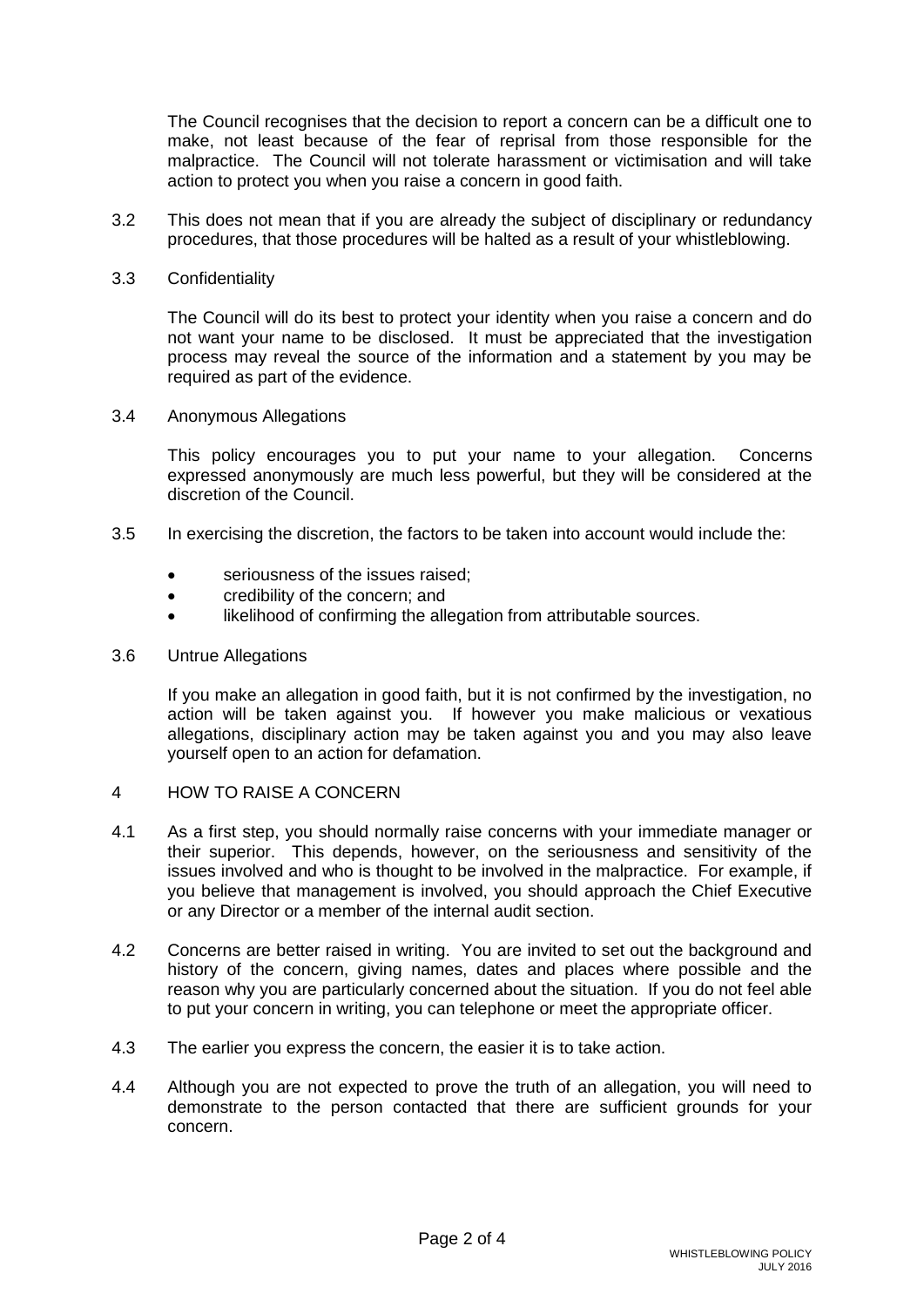The Council recognises that the decision to report a concern can be a difficult one to make, not least because of the fear of reprisal from those responsible for the malpractice. The Council will not tolerate harassment or victimisation and will take action to protect you when you raise a concern in good faith.

- 3.2 This does not mean that if you are already the subject of disciplinary or redundancy procedures, that those procedures will be halted as a result of your whistleblowing.
- 3.3 Confidentiality

The Council will do its best to protect your identity when you raise a concern and do not want your name to be disclosed. It must be appreciated that the investigation process may reveal the source of the information and a statement by you may be required as part of the evidence.

3.4 Anonymous Allegations

This policy encourages you to put your name to your allegation. Concerns expressed anonymously are much less powerful, but they will be considered at the discretion of the Council.

- 3.5 In exercising the discretion, the factors to be taken into account would include the:
	- seriousness of the issues raised;
	- credibility of the concern; and
	- likelihood of confirming the allegation from attributable sources.
- 3.6 Untrue Allegations

If you make an allegation in good faith, but it is not confirmed by the investigation, no action will be taken against you. If however you make malicious or vexatious allegations, disciplinary action may be taken against you and you may also leave yourself open to an action for defamation.

- 4 HOW TO RAISE A CONCERN
- 4.1 As a first step, you should normally raise concerns with your immediate manager or their superior. This depends, however, on the seriousness and sensitivity of the issues involved and who is thought to be involved in the malpractice. For example, if you believe that management is involved, you should approach the Chief Executive or any Director or a member of the internal audit section.
- 4.2 Concerns are better raised in writing. You are invited to set out the background and history of the concern, giving names, dates and places where possible and the reason why you are particularly concerned about the situation. If you do not feel able to put your concern in writing, you can telephone or meet the appropriate officer.
- 4.3 The earlier you express the concern, the easier it is to take action.
- 4.4 Although you are not expected to prove the truth of an allegation, you will need to demonstrate to the person contacted that there are sufficient grounds for your concern.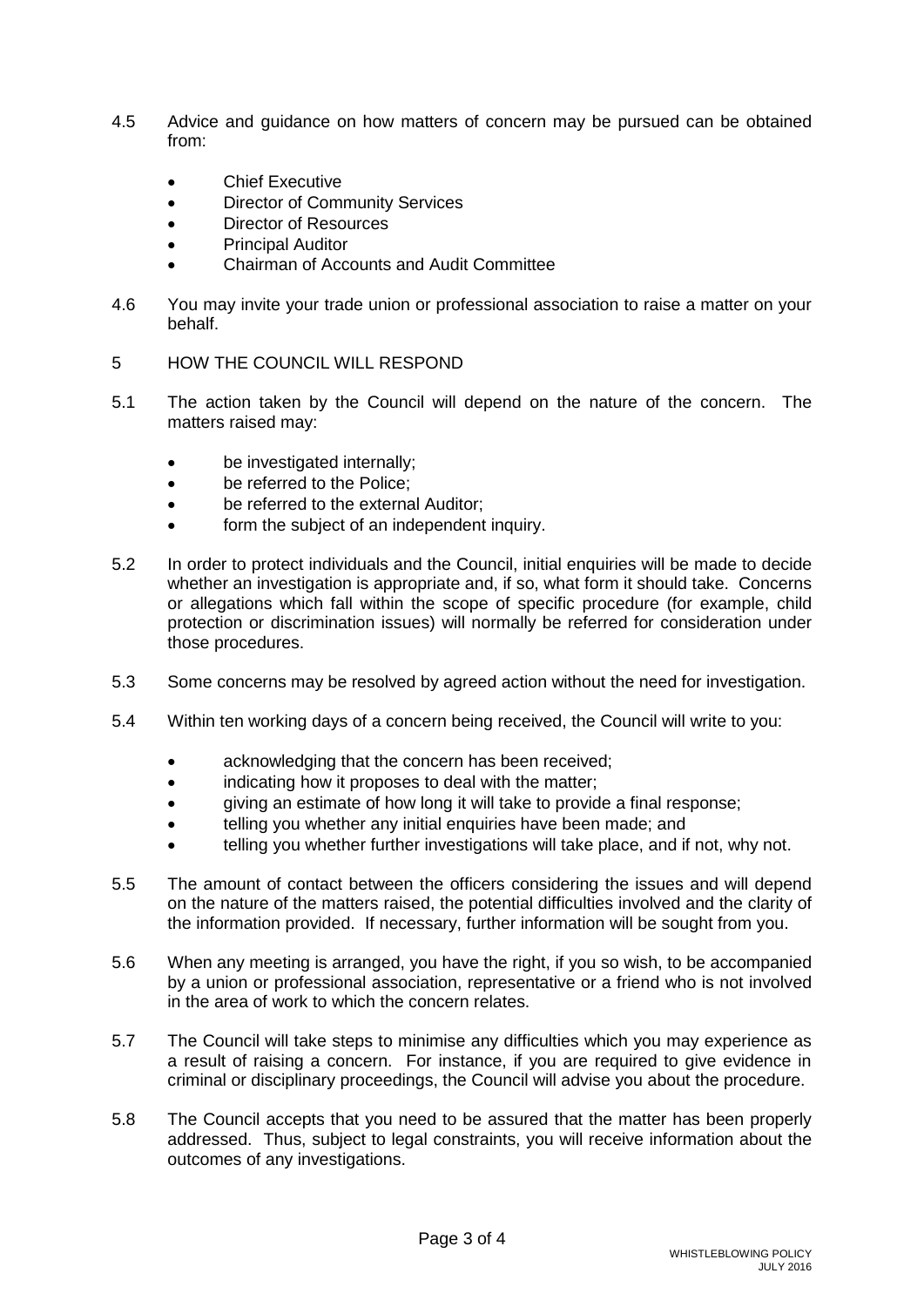- 4.5 Advice and guidance on how matters of concern may be pursued can be obtained from:
	- **Chief Executive**
	- Director of Community Services
	- Director of Resources
	- Principal Auditor
	- Chairman of Accounts and Audit Committee
- 4.6 You may invite your trade union or professional association to raise a matter on your behalf.
- 5 HOW THE COUNCIL WILL RESPOND
- 5.1 The action taken by the Council will depend on the nature of the concern. The matters raised may:
	- be investigated internally:
	- be referred to the Police;
	- be referred to the external Auditor;
	- form the subject of an independent inquiry.
- 5.2 In order to protect individuals and the Council, initial enquiries will be made to decide whether an investigation is appropriate and, if so, what form it should take. Concerns or allegations which fall within the scope of specific procedure (for example, child protection or discrimination issues) will normally be referred for consideration under those procedures.
- 5.3 Some concerns may be resolved by agreed action without the need for investigation.
- 5.4 Within ten working days of a concern being received, the Council will write to you:
	- acknowledging that the concern has been received;
	- $\bullet$  indicating how it proposes to deal with the matter:
	- giving an estimate of how long it will take to provide a final response;
	- telling you whether any initial enquiries have been made; and
	- telling you whether further investigations will take place, and if not, why not.
- 5.5 The amount of contact between the officers considering the issues and will depend on the nature of the matters raised, the potential difficulties involved and the clarity of the information provided. If necessary, further information will be sought from you.
- 5.6 When any meeting is arranged, you have the right, if you so wish, to be accompanied by a union or professional association, representative or a friend who is not involved in the area of work to which the concern relates.
- 5.7 The Council will take steps to minimise any difficulties which you may experience as a result of raising a concern. For instance, if you are required to give evidence in criminal or disciplinary proceedings, the Council will advise you about the procedure.
- 5.8 The Council accepts that you need to be assured that the matter has been properly addressed. Thus, subject to legal constraints, you will receive information about the outcomes of any investigations.